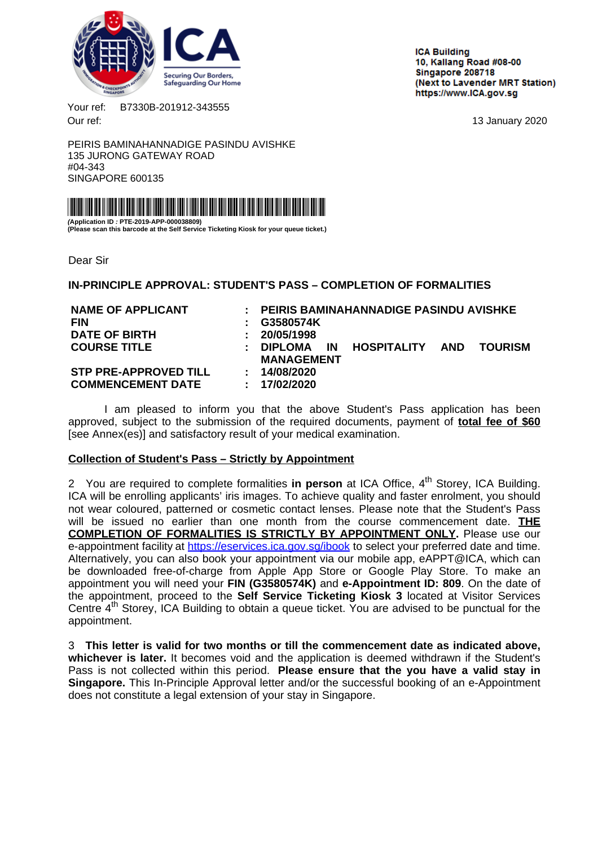<span id="page-0-0"></span>

**ICA Building** 10. Kallang Road #08-00 Singapore 208718 (Next to Lavender MRT Station) https://www.ICA.gov.sg

Your ref: B7330B-201912-343555 Our ref: 13 January 2020

PEIRIS BAMINAHANNADIGE PASINDU AVISHKE 135 JURONG GATEWAY ROAD #04-343 SINGAPORE 600135



**(Application ID : PTE-2019-APP-000038809) (Please scan this barcode at the Self Service Ticketing Kiosk for your queue ticket.)**

Dear Sir

**IN-PRINCIPLE APPROVAL: STUDENT'S PASS – COMPLETION OF FORMALITIES**

| <b>NAME OF APPLICANT</b>     |                            | PEIRIS BAMINAHANNADIGE PASINDU AVISHKE |           |                 |  |                |
|------------------------------|----------------------------|----------------------------------------|-----------|-----------------|--|----------------|
| <b>FIN</b>                   |                            | G3580574K                              |           |                 |  |                |
| <b>DATE OF BIRTH</b>         | ÷.                         | 20/05/1998                             |           |                 |  |                |
| <b>COURSE TITLE</b>          | ÷.                         | <b>DIPLOMA</b>                         | <b>IN</b> | HOSPITALITY AND |  | <b>TOURISM</b> |
|                              |                            | <b>MANAGEMENT</b>                      |           |                 |  |                |
| <b>STP PRE-APPROVED TILL</b> | $\mathbf{L}$               | 14/08/2020                             |           |                 |  |                |
| <b>COMMENCEMENT DATE</b>     | $\mathcal{L}^{\text{max}}$ | 17/02/2020                             |           |                 |  |                |
|                              |                            |                                        |           |                 |  |                |

I am pleased to inform you that the above Student's Pass application has been approved, subject to the submission of the required documents, payment of **total fee of \$60** [see Annex(es)] and satisfactory result of your medical examination.

### **Collection of Student's Pass – Strictly by Appointment**

2 You are required to complete formalities in person at ICA Office, 4<sup>th</sup> Storey, ICA Building. ICA will be enrolling applicants' iris images. To achieve quality and faster enrolment, you should not wear coloured, patterned or cosmetic contact lenses. Please note that the Student's Pass will be issued no earlier than one month from the course commencement date. **THE COMPLETION OF FORMALITIES IS STRICTLY BY APPOINTMENT ONLY.** Please use our e-appointment facility at <https://eservices.ica.gov.sg/ibook> to select your preferred date and time. Alternatively, you can also book your appointment via our mobile app, eAPPT@ICA, which can be downloaded free-of-charge from Apple App Store or Google Play Store. To make an appointment you will need your **FIN (G3580574K)** and **e-Appointment ID: 809**. On the date of the appointment, proceed to the **Self Service Ticketing Kiosk 3** located at Visitor Services Centre  $4<sup>th</sup>$  Storey, ICA Building to obtain a queue ticket. You are advised to be punctual for the appointment.

3 **This letter is valid for two months or till the commencement date as indicated above, whichever is later.** It becomes void and the application is deemed withdrawn if the Student's Pass is not collected within this period. **Please ensure that the you have a valid stay in Singapore.** This In-Principle Approval letter and/or the successful booking of an e-Appointment does not constitute a legal extension of your stay in Singapore.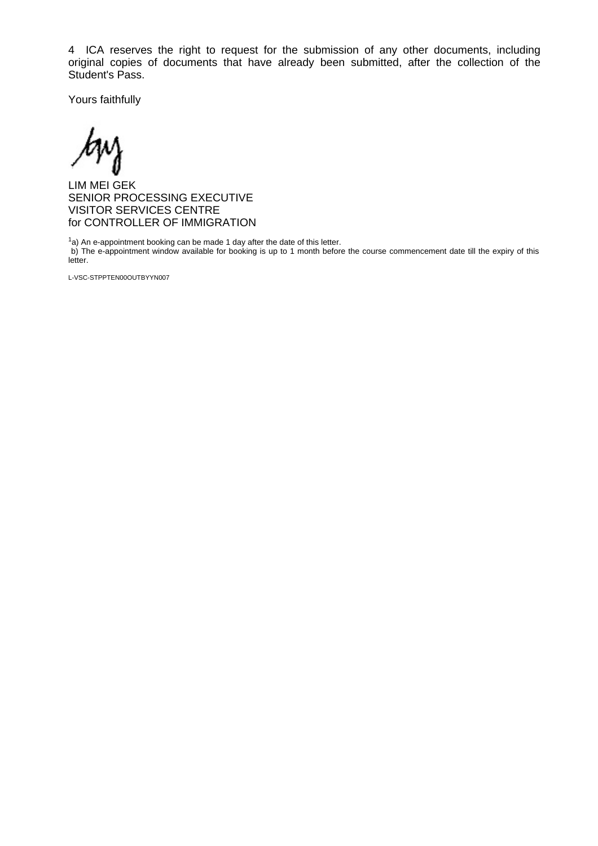4 ICA reserves the right to request for the submission of any other documents, including original copies of documents that have already been submitted, after the collection of the Student's Pass.

Yours faithfully

LIM MEI GEK SENIOR PROCESSING EXECUTIVE VISITOR SERVICES CENTRE for CONTROLLER OF IMMIGRATION

 $1a$ ) An e-appointment booking can be made 1 day after the date of this letter. b) The e-appointment window available for booking is up to 1 month before the course commencement date till the expiry of this letter.

L-VSC-STPPTEN00OUTBYYN007